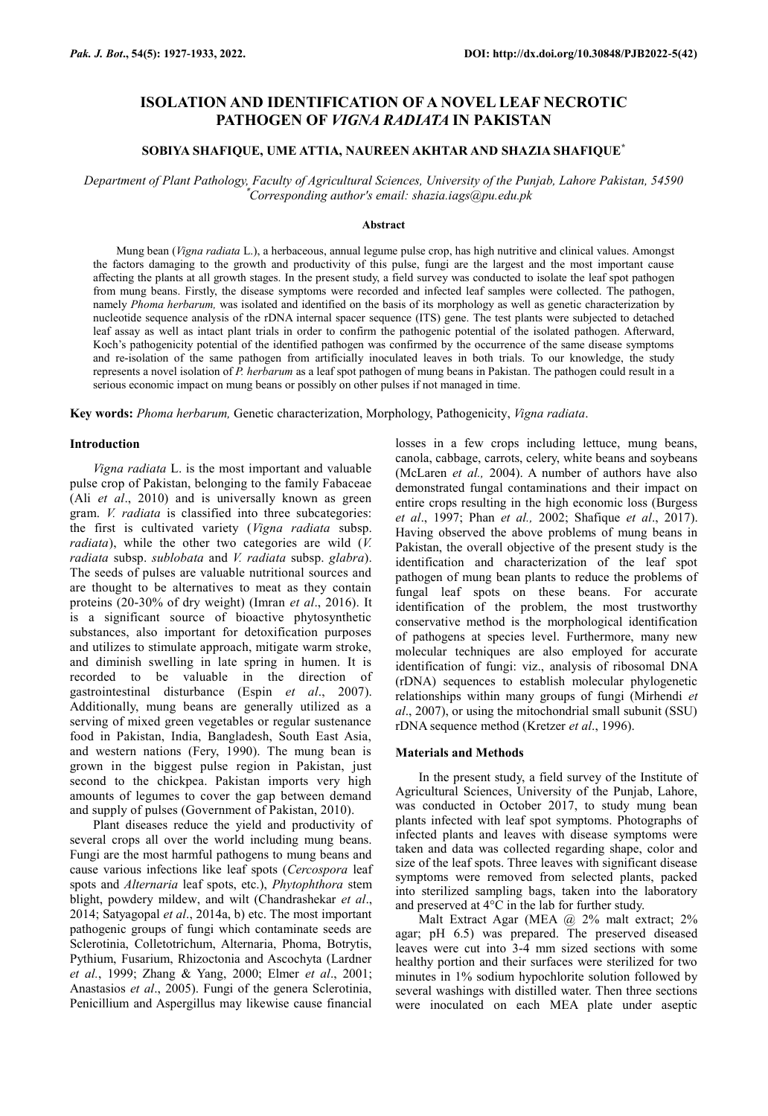## **ISOLATION AND IDENTIFICATION OF A NOVEL LEAF NECROTIC PATHOGEN OF** *VIGNA RADIATA* **IN PAKISTAN**

## **SOBIYA SHAFIQUE, UME ATTIA, NAUREEN AKHTAR AND SHAZIA SHAFIQUE\***

*Department of Plant Pathology, Faculty of Agricultural Sciences, University of the Punjab, Lahore Pakistan, 54590* \**Corresponding author's email: shazia.iags@pu.edu.pk*

#### **Abstract**

Mung bean (*Vigna radiata* L.), a herbaceous, annual legume pulse crop, has high nutritive and clinical values. Amongst the factors damaging to the growth and productivity of this pulse, fungi are the largest and the most important cause affecting the plants at all growth stages. In the present study, a field survey was conducted to isolate the leaf spot pathogen from mung beans. Firstly, the disease symptoms were recorded and infected leaf samples were collected. The pathogen, namely *Phoma herbarum,* was isolated and identified on the basis of its morphology as well as genetic characterization by nucleotide sequence analysis of the rDNA internal spacer sequence (ITS) gene. The test plants were subjected to detached leaf assay as well as intact plant trials in order to confirm the pathogenic potential of the isolated pathogen. Afterward, Koch's pathogenicity potential of the identified pathogen was confirmed by the occurrence of the same disease symptoms and re-isolation of the same pathogen from artificially inoculated leaves in both trials. To our knowledge, the study represents a novel isolation of *P. herbarum* as a leaf spot pathogen of mung beans in Pakistan. The pathogen could result in a serious economic impact on mung beans or possibly on other pulses if not managed in time.

**Key words:** *Phoma herbarum,* Genetic characterization, Morphology, Pathogenicity, *Vigna radiata*.

## **Introduction**

*Vigna radiata* L. is the most important and valuable pulse crop of Pakistan, belonging to the family Fabaceae (Ali *et al*., 2010) and is universally known as green gram. *V. radiata* is classified into three subcategories: the first is cultivated variety (*Vigna radiata* subsp. *radiata*), while the other two categories are wild (*V. radiata* subsp. *sublobata* and *V. radiata* subsp. *glabra*). The seeds of pulses are valuable nutritional sources and are thought to be alternatives to meat as they contain proteins (20-30% of dry weight) (Imran *et al*., 2016). It is a significant source of bioactive phytosynthetic substances, also important for detoxification purposes and utilizes to stimulate approach, mitigate warm stroke, and diminish swelling in late spring in humen. It is recorded to be valuable in the direction of gastrointestinal disturbance (Espin *et al*., 2007). Additionally, mung beans are generally utilized as a serving of mixed green vegetables or regular sustenance food in Pakistan, India, Bangladesh, South East Asia, and western nations (Fery, 1990). The mung bean is grown in the biggest pulse region in Pakistan, just second to the chickpea. Pakistan imports very high amounts of legumes to cover the gap between demand and supply of pulses (Government of Pakistan, 2010).

Plant diseases reduce the yield and productivity of several crops all over the world including mung beans. Fungi are the most harmful pathogens to mung beans and cause various infections like leaf spots (*Cercospora* leaf spots and *Alternaria* leaf spots, etc.), *Phytophthora* stem blight, powdery mildew, and wilt (Chandrashekar *et al*., 2014; Satyagopal *et al*., 2014a, b) etc. The most important pathogenic groups of fungi which contaminate seeds are Sclerotinia, Colletotrichum, Alternaria, Phoma, Botrytis, Pythium, Fusarium, Rhizoctonia and Ascochyta (Lardner *et al.*, 1999; Zhang & Yang, 2000; Elmer *et al*., 2001; Anastasios *et al*., 2005). Fungi of the genera Sclerotinia, Penicillium and Aspergillus may likewise cause financial

losses in a few crops including lettuce, mung beans, canola, cabbage, carrots, celery, white beans and soybeans (McLaren *et al.,* 2004). A number of authors have also demonstrated fungal contaminations and their impact on entire crops resulting in the high economic loss (Burgess *et al*., 1997; Phan *et al.,* 2002; Shafique *et al*., 2017). Having observed the above problems of mung beans in Pakistan, the overall objective of the present study is the identification and characterization of the leaf spot pathogen of mung bean plants to reduce the problems of fungal leaf spots on these beans. For accurate identification of the problem, the most trustworthy conservative method is the morphological identification of pathogens at species level. Furthermore, many new molecular techniques are also employed for accurate identification of fungi: viz., analysis of ribosomal DNA (rDNA) sequences to establish molecular phylogenetic relationships within many groups of fungi (Mirhendi *et al*., 2007), or using the mitochondrial small subunit (SSU) rDNA sequence method (Kretzer *et al*., 1996).

#### **Materials and Methods**

In the present study, a field survey of the Institute of Agricultural Sciences, University of the Punjab, Lahore, was conducted in October 2017, to study mung bean plants infected with leaf spot symptoms. Photographs of infected plants and leaves with disease symptoms were taken and data was collected regarding shape, color and size of the leaf spots. Three leaves with significant disease symptoms were removed from selected plants, packed into sterilized sampling bags, taken into the laboratory and preserved at 4°C in the lab for further study.

Malt Extract Agar (MEA @ 2% malt extract; 2% agar; pH 6.5) was prepared. The preserved diseased leaves were cut into 3-4 mm sized sections with some healthy portion and their surfaces were sterilized for two minutes in 1% sodium hypochlorite solution followed by several washings with distilled water. Then three sections were inoculated on each MEA plate under aseptic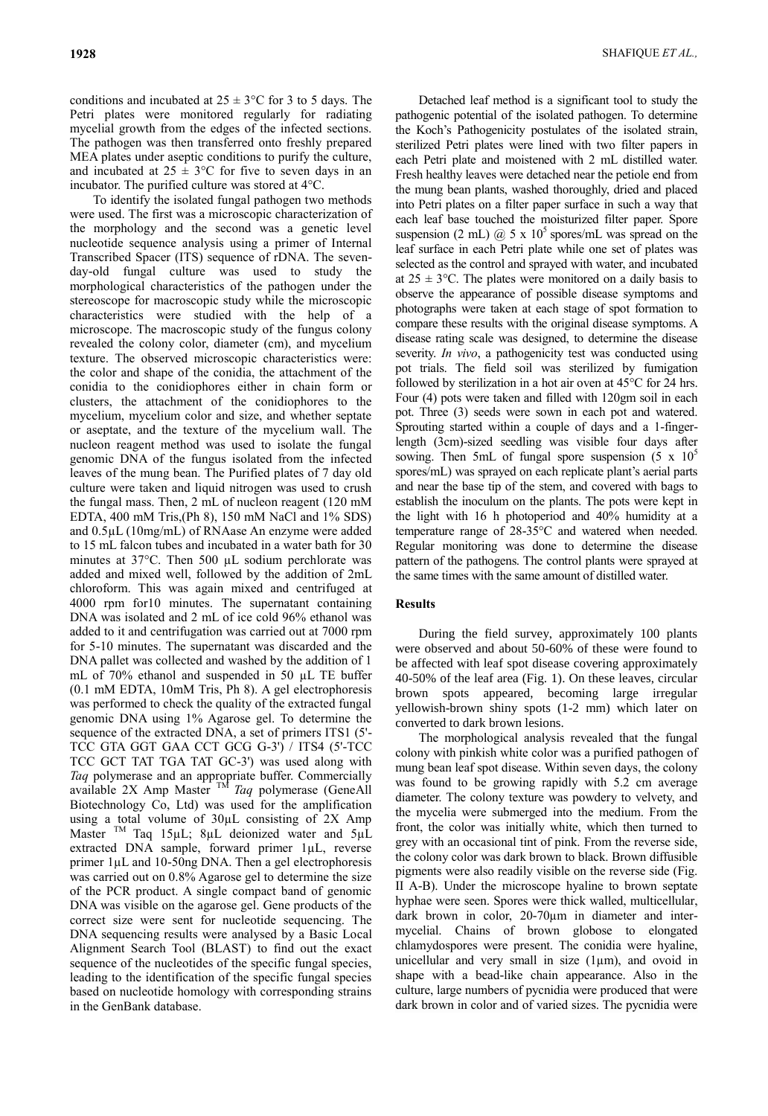conditions and incubated at  $25 \pm 3$ °C for 3 to 5 days. The Petri plates were monitored regularly for radiating mycelial growth from the edges of the infected sections. The pathogen was then transferred onto freshly prepared MEA plates under aseptic conditions to purify the culture, and incubated at  $25 \pm 3$ °C for five to seven days in an incubator. The purified culture was stored at 4°C.

To identify the isolated fungal pathogen two methods were used. The first was a microscopic characterization of the morphology and the second was a genetic level nucleotide sequence analysis using a primer of Internal Transcribed Spacer (ITS) sequence of rDNA. The sevenday-old fungal culture was used to study the morphological characteristics of the pathogen under the stereoscope for macroscopic study while the microscopic characteristics were studied with the help of a microscope. The macroscopic study of the fungus colony revealed the colony color, diameter (cm), and mycelium texture. The observed microscopic characteristics were: the color and shape of the conidia, the attachment of the conidia to the conidiophores either in chain form or clusters, the attachment of the conidiophores to the mycelium, mycelium color and size, and whether septate or aseptate, and the texture of the mycelium wall. The nucleon reagent method was used to isolate the fungal genomic DNA of the fungus isolated from the infected leaves of the mung bean. The Purified plates of 7 day old culture were taken and liquid nitrogen was used to crush the fungal mass. Then, 2 mL of nucleon reagent (120 mM EDTA, 400 mM Tris,(Ph 8), 150 mM NaCl and 1% SDS) and 0.5µL (10mg/mL) of RNAase An enzyme were added to 15 mL falcon tubes and incubated in a water bath for 30 minutes at 37°C. Then 500 µL sodium perchlorate was added and mixed well, followed by the addition of 2mL chloroform. This was again mixed and centrifuged at 4000 rpm for10 minutes. The supernatant containing DNA was isolated and 2 mL of ice cold 96% ethanol was added to it and centrifugation was carried out at 7000 rpm for 5-10 minutes. The supernatant was discarded and the DNA pallet was collected and washed by the addition of 1 mL of 70% ethanol and suspended in 50 µL TE buffer (0.1 mM EDTA, 10mM Tris, Ph 8). A gel electrophoresis was performed to check the quality of the extracted fungal genomic DNA using 1% Agarose gel. To determine the sequence of the extracted DNA, a set of primers ITS1 (5'- TCC GTA GGT GAA CCT GCG G-3') / ITS4 (5'-TCC TCC GCT TAT TGA TAT GC-3') was used along with *Taq* polymerase and an appropriate buffer. Commercially available 2X Amp Master TM *Taq* polymerase (GeneAll Biotechnology Co, Ltd) was used for the amplification using a total volume of 30µL consisting of 2X Amp Master <sup>TM</sup> Taq 15µL; 8µL deionized water and 5µL extracted DNA sample, forward primer 1µL, reverse primer 1µL and 10-50ng DNA. Then a gel electrophoresis was carried out on 0.8% Agarose gel to determine the size of the PCR product. A single compact band of genomic DNA was visible on the agarose gel. Gene products of the correct size were sent for nucleotide sequencing. The DNA sequencing results were analysed by a Basic Local Alignment Search Tool (BLAST) to find out the exact sequence of the nucleotides of the specific fungal species, leading to the identification of the specific fungal species based on nucleotide homology with corresponding strains in the GenBank database.

Detached leaf method is a significant tool to study the pathogenic potential of the isolated pathogen. To determine the Koch's Pathogenicity postulates of the isolated strain, sterilized Petri plates were lined with two filter papers in each Petri plate and moistened with 2 mL distilled water. Fresh healthy leaves were detached near the petiole end from the mung bean plants, washed thoroughly, dried and placed into Petri plates on a filter paper surface in such a way that each leaf base touched the moisturized filter paper. Spore suspension (2 mL)  $\omega$  5 x 10<sup>5</sup> spores/mL was spread on the leaf surface in each Petri plate while one set of plates was selected as the control and sprayed with water, and incubated at  $25 \pm 3$ °C. The plates were monitored on a daily basis to observe the appearance of possible disease symptoms and photographs were taken at each stage of spot formation to compare these results with the original disease symptoms. A disease rating scale was designed, to determine the disease severity. *In vivo*, a pathogenicity test was conducted using pot trials. The field soil was sterilized by fumigation followed by sterilization in a hot air oven at 45°C for 24 hrs. Four (4) pots were taken and filled with 120gm soil in each pot. Three (3) seeds were sown in each pot and watered. Sprouting started within a couple of days and a 1-fingerlength (3cm)-sized seedling was visible four days after sowing. Then 5mL of fungal spore suspension  $(5 \times 10^5$ spores/mL) was sprayed on each replicate plant's aerial parts and near the base tip of the stem, and covered with bags to establish the inoculum on the plants. The pots were kept in the light with 16 h photoperiod and 40% humidity at a temperature range of 28-35°C and watered when needed. Regular monitoring was done to determine the disease pattern of the pathogens. The control plants were sprayed at the same times with the same amount of distilled water.

### **Results**

During the field survey, approximately 100 plants were observed and about 50-60% of these were found to be affected with leaf spot disease covering approximately 40-50% of the leaf area (Fig. 1). On these leaves, circular brown spots appeared, becoming large irregular yellowish-brown shiny spots (1-2 mm) which later on converted to dark brown lesions.

The morphological analysis revealed that the fungal colony with pinkish white color was a purified pathogen of mung bean leaf spot disease. Within seven days, the colony was found to be growing rapidly with 5.2 cm average diameter. The colony texture was powdery to velvety, and the mycelia were submerged into the medium. From the front, the color was initially white, which then turned to grey with an occasional tint of pink. From the reverse side, the colony color was dark brown to black. Brown diffusible pigments were also readily visible on the reverse side (Fig. II A-B). Under the microscope hyaline to brown septate hyphae were seen. Spores were thick walled, multicellular, dark brown in color, 20-70µm in diameter and intermycelial. Chains of brown globose to elongated chlamydospores were present. The conidia were hyaline, unicellular and very small in size (1µm), and ovoid in shape with a bead-like chain appearance. Also in the culture, large numbers of pycnidia were produced that were dark brown in color and of varied sizes. The pycnidia were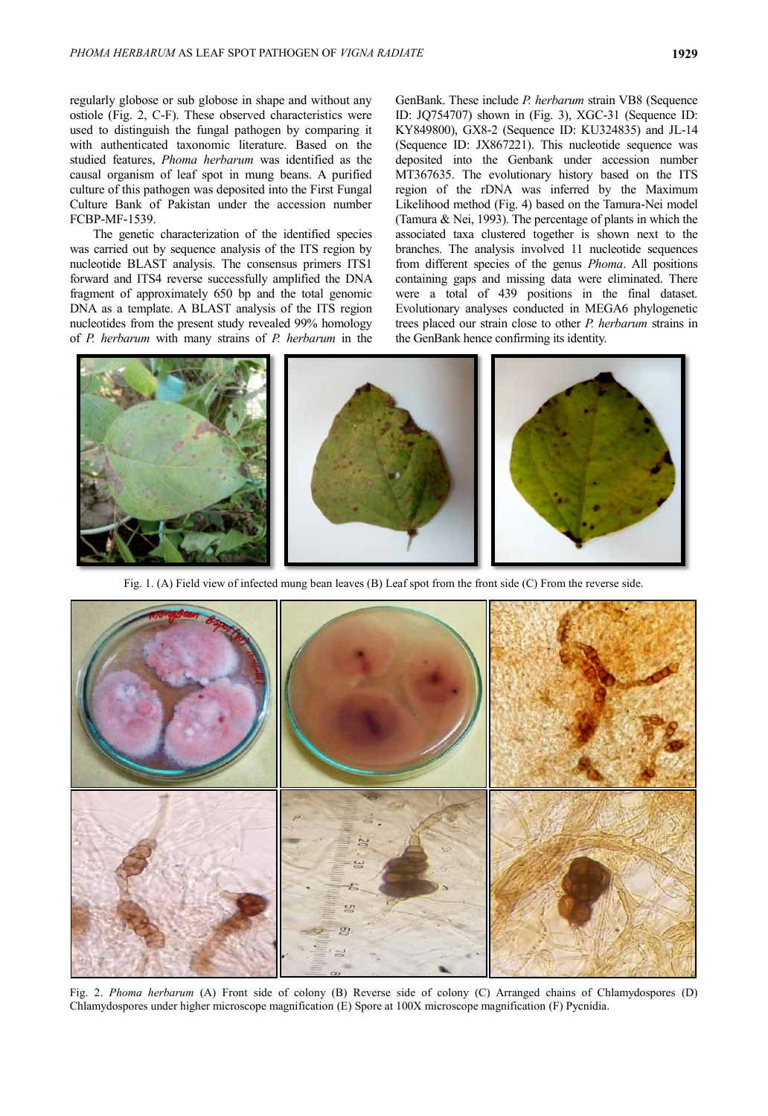regularly globose or sub globose in shape and without any ostiole (Fig. 2, C-F). These observed characteristics were used to distinguish the fungal pathogen by comparing it with authenticated taxonomic literature. Based on the studied features, *Phoma herbarum* was identified as the causal organism of leaf spot in mung beans. A purified culture of this pathogen was deposited into the First Fungal Culture Bank of Pakistan under the accession number FCBP-MF-1539.

The genetic characterization of the identified species was carried out by sequence analysis of the ITS region by nucleotide BLAST analysis. The consensus primers ITS1 forward and ITS4 reverse successfully amplified the DNA fragment of approximately 650 bp and the total genomic DNA as a template. A BLAST analysis of the ITS region nucleotides from the present study revealed 99% homology of *P. herbarum* with many strains of *P. herbarum* in the

GenBank. These include *P. herbarum* strain VB8 (Sequence ID: JQ754707) shown in (Fig. 3), XGC-31 (Sequence ID: KY849800), GX8-2 (Sequence ID: KU324835) and JL-14 (Sequence ID: JX867221). This nucleotide sequence was deposited into the Genbank under accession number MT367635. The evolutionary history based on the ITS region of the rDNA was inferred by the Maximum Likelihood method (Fig. 4) based on the Tamura-Nei model (Tamura & Nei, 1993). The percentage of plants in which the associated taxa clustered together is shown next to the branches. The analysis involved 11 nucleotide sequences from different species of the genus *Phoma*. All positions containing gaps and missing data were eliminated. There were a total of 439 positions in the final dataset. Evolutionary analyses conducted in MEGA6 phylogenetic trees placed our strain close to other *P. herbarum* strains in the GenBank hence confirming its identity.



Fig. 1. (A) Field view of infected mung bean leaves (B) Leaf spot from the front side (C) From the reverse side.



Fig. 2. *Phoma herbarum* (A) Front side of colony (B) Reverse side of colony (C) Arranged chains of Chlamydospores (D) Chlamydospores under higher microscope magnification (E) Spore at 100X microscope magnification (F) Pycnidia.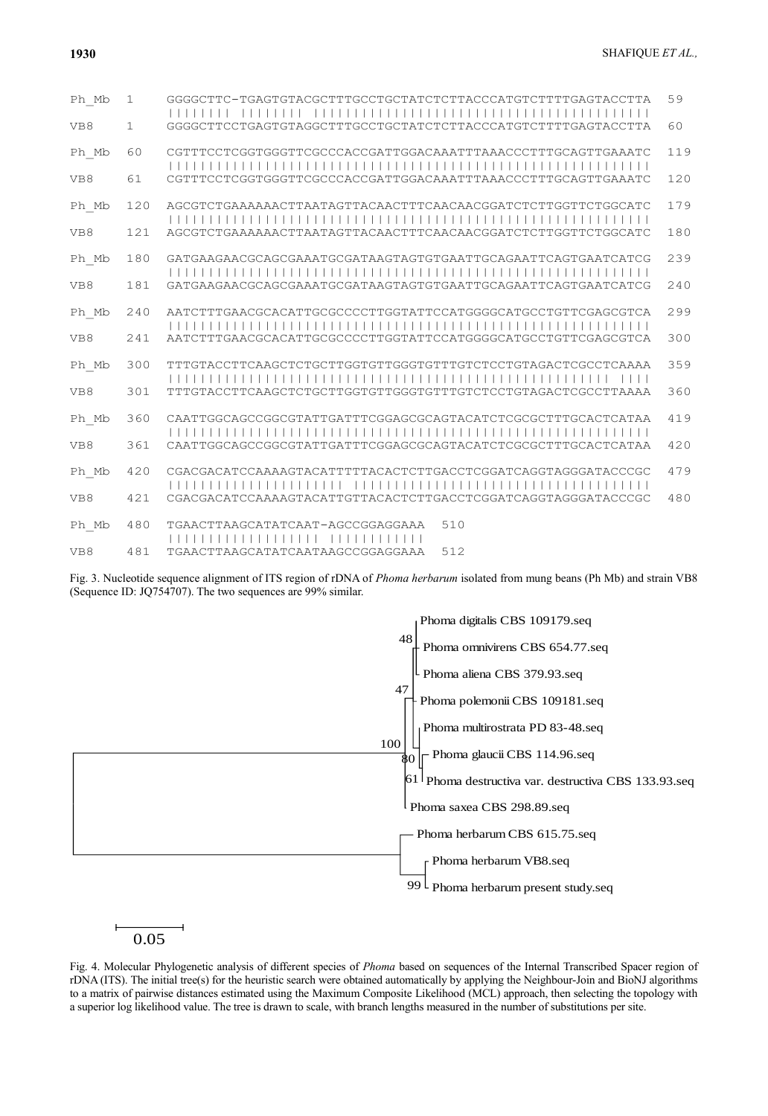| Ph Mb | $\mathbf 1$ | GGGGCTTC-TGAGTGTACGCTTTGCCTGCTATCTCTTACCCATGTCTTTTGAGTACCTTA | 59  |
|-------|-------------|--------------------------------------------------------------|-----|
| VB8   | 1           | GGGGCTTCCTGAGTGTAGGCTTTGCCTGCTATCTCTTACCCATGTCTTTTGAGTACCTTA | 60  |
| Ph Mb | 60          | CGTTTCCTCGGTGGGTTCGCCCACCGATTGGACAAATTTAAACCCTTTGCAGTTGAAATC | 119 |
| VB8   | 61          | CGTTTCCTCGGTGGGTTCGCCCACCGATTGGACAAATTTAAACCCTTTGCAGTTGAAATC | 120 |
| Ph Mb | 120         | AGCGTCTGAAAAAACTTAATAGTTACAACTTTCAACAACGGATCTCTTGGTTCTGGCATC | 179 |
| VB8   | 121         | AGCGTCTGAAAAAACTTAATAGTTACAACTTTCAACAACGGATCTCTTGGTTCTGGCATC | 180 |
| Ph Mb | 180         | GATGAAGAACGCAGCGAAATGCGATAAGTAGTGTGAATTGCAGAATTCAGTGAATCATCG | 239 |
| VB8   | 181         | GATGAAGAACGCAGCGAAATGCGATAAGTAGTGTGAATTGCAGAATTCAGTGAATCATCG | 240 |
| Ph Mb | 240         | AATCTTTGAACGCACATTGCGCCCCTTGGTATTCCATGGGGCATGCCTGTTCGAGCGTCA | 299 |
| VB8   | 241         | AATCTTTGAACGCACATTGCGCCCCTTGGTATTCCATGGGGCATGCCTGTTCGAGCGTCA | 300 |
| Ph Mb | 300         | TTTGTACCTTCAAGCTCTGCTTGGTGTTGGGTGTTTGTCTCCTGTAGACTCGCCTCAAAA | 359 |
| VB8   | 301         | TTTGTACCTTCAAGCTCTGCTTGGTGTTGGGTGTTTGTCTCCTGTAGACTCGCCTTAAAA | 360 |
| Ph Mb | 360         | CAATTGGCAGCCGGCGTATTGATTTCGGAGCGCAGTACATCTCGCGCTTTGCACTCATAA | 419 |
| VB8   | 361         | CAATTGGCAGCCGGCGTATTGATTTCGGAGCGCAGTACATCTCGCGCTTTGCACTCATAA | 420 |
| Ph Mb | 420         | CGACGACATCCAAAAGTACATTTTTACACTCTTGACCTCGGATCAGGTAGGGATACCCGC | 479 |
| VB8   | 421         | CGACGACATCCAAAAGTACATTGTTACACTCTTGACCTCGGATCAGGTAGGGATACCCGC | 480 |
| Ph Mb | 480         | TGAACTTAAGCATATCAAT-AGCCGGAGGAAA<br>510                      |     |
| VB8   | 481         | TGAACTTAAGCATATCAATAAGCCGGAGGAAA<br>512                      |     |

Fig. 3. Nucleotide sequence alignment of ITS region of rDNA of *[Phoma](https://www.ncbi.nlm.nih.gov/pmc/articles/PMC3969233/) herbarum* isolated from mung beans (Ph Mb) and strain VB8 (Sequence ID: JQ754707). The two sequences are 99% similar.



# 0.05

Fig. 4. Molecular Phylogenetic analysis of different species of *Phoma* based on sequences of the Internal Transcribed Spacer region of rDNA (ITS). The initial tree(s) for the heuristic search were obtained automatically by applying the Neighbour-Join and BioNJ algorithms to a matrix of pairwise distances estimated using the Maximum Composite Likelihood (MCL) approach, then selecting the topology with a superior log likelihood value. The tree is drawn to scale, with branch lengths measured in the number of substitutions per site.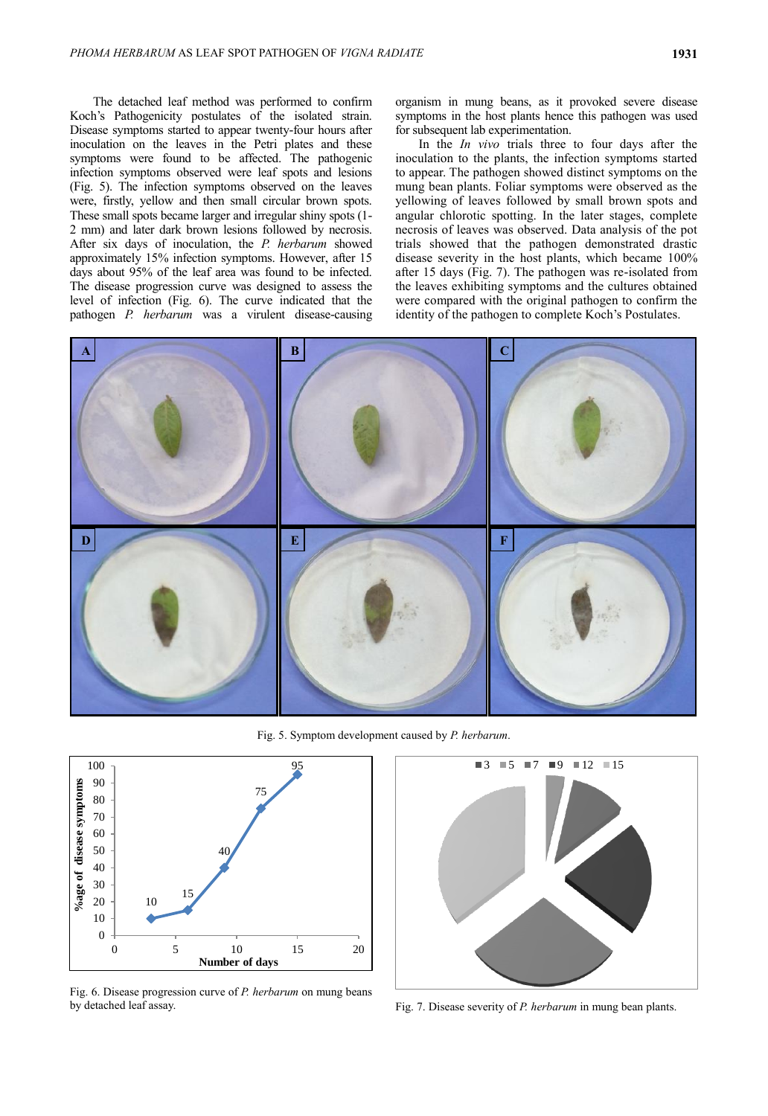The detached leaf method was performed to confirm Koch's Pathogenicity postulates of the isolated strain. Disease symptoms started to appear twenty-four hours after inoculation on the leaves in the Petri plates and these symptoms were found to be affected. The pathogenic infection symptoms observed were leaf spots and lesions (Fig. 5). The infection symptoms observed on the leaves were, firstly, yellow and then small circular brown spots. These small spots became larger and irregular shiny spots (1- 2 mm) and later dark brown lesions followed by necrosis. After six days of inoculation, the *P. herbarum* showed approximately 15% infection symptoms. However, after 15 days about 95% of the leaf area was found to be infected. The disease progression curve was designed to assess the level of infection (Fig. 6). The curve indicated that the pathogen *P. herbarum* was a virulent disease-causing organism in mung beans, as it provoked severe disease symptoms in the host plants hence this pathogen was used for subsequent lab experimentation.

In the *In vivo* trials three to four days after the inoculation to the plants, the infection symptoms started to appear. The pathogen showed distinct symptoms on the mung bean plants. Foliar symptoms were observed as the yellowing of leaves followed by small brown spots and angular chlorotic spotting. In the later stages, complete necrosis of leaves was observed. Data analysis of the pot trials showed that the pathogen demonstrated drastic disease severity in the host plants, which became 100% after 15 days (Fig. 7). The pathogen was re-isolated from the leaves exhibiting symptoms and the cultures obtained were compared with the original pathogen to confirm the identity of the pathogen to complete Koch's Postulates.



Fig. 5. Symptom development caused by *P. herbarum*.



Fig. 6. Disease progression curve of *P. herbarum* on mung beans by detached leaf assay. Fig. 7. Disease severity of *P. herbarum* in mung bean plants.

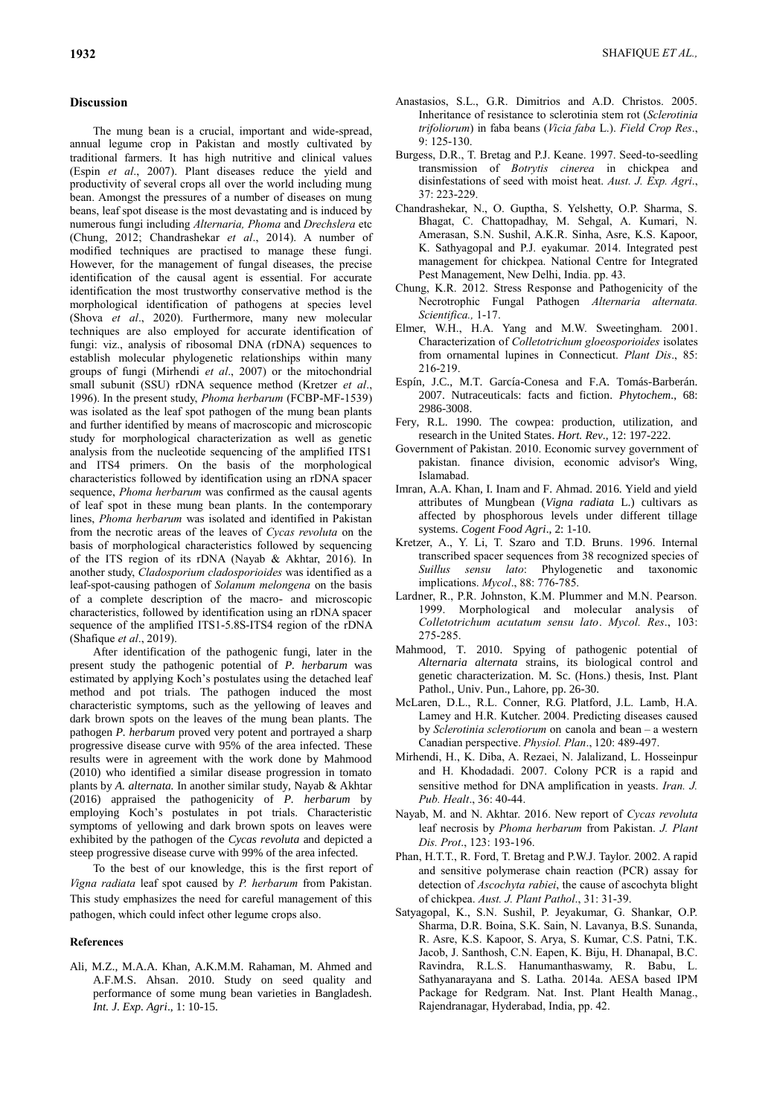#### **Discussion**

The mung bean is a crucial, important and wide-spread, annual legume crop in Pakistan and mostly cultivated by traditional farmers. It has high nutritive and clinical values (Espin *et al*., 2007). Plant diseases reduce the yield and productivity of several crops all over the world including mung bean. Amongst the pressures of a number of diseases on mung beans, leaf spot disease is the most devastating and is induced by numerous fungi including *Alternaria, Phoma* and *Drechslera* etc (Chung, 2012; Chandrashekar *et al*., 2014). A number of modified techniques are practised to manage these fungi. However, for the management of fungal diseases, the precise identification of the causal agent is essential. For accurate identification the most trustworthy conservative method is the morphological identification of pathogens at species level (Shova *et al*., 2020). Furthermore, many new molecular techniques are also employed for accurate identification of fungi: viz., analysis of ribosomal DNA (rDNA) sequences to establish molecular phylogenetic relationships within many groups of fungi (Mirhendi *et al*., 2007) or the mitochondrial small subunit (SSU) rDNA sequence method (Kretzer *et al*., 1996). In the present study, *Phoma herbarum* (FCBP-MF-1539) was isolated as the leaf spot pathogen of the mung bean plants and further identified by means of macroscopic and microscopic study for morphological characterization as well as genetic analysis from the nucleotide sequencing of the amplified ITS1 and ITS4 primers. On the basis of the morphological characteristics followed by identification using an rDNA spacer sequence, *Phoma herbarum* was confirmed as the causal agents of leaf spot in these mung bean plants. In the contemporary lines, *Phoma herbarum* was isolated and identified in Pakistan from the necrotic areas of the leaves of *Cycas revoluta* on the basis of morphological characteristics followed by sequencing of the ITS region of its rDNA (Nayab & Akhtar, 2016). In another study, *Cladosporium cladosporioides* was identified as a leaf-spot-causing pathogen of *Solanum melongena* on the basis of a complete description of the macro- and microscopic characteristics, followed by identification using an rDNA spacer sequence of the amplified ITS1-5.8S-ITS4 region of the rDNA (Shafique *et al*., 2019).

After identification of the pathogenic fungi, later in the present study the pathogenic potential of *P. herbarum* was estimated by applying Koch's postulates using the detached leaf method and pot trials. The pathogen induced the most characteristic symptoms, such as the yellowing of leaves and dark brown spots on the leaves of the mung bean plants. The pathogen *P. herbarum* proved very potent and portrayed a sharp progressive disease curve with 95% of the area infected. These results were in agreement with the work done by Mahmood (2010) who identified a similar disease progression in tomato plants by *A. alternata.* In another similar study, Nayab & Akhtar (2016) appraised the pathogenicity of *P. herbarum* by employing Koch's postulates in pot trials. Characteristic symptoms of yellowing and dark brown spots on leaves were exhibited by the pathogen of the *Cycas revoluta* and depicted a steep progressive disease curve with 99% of the area infected.

To the best of our knowledge, this is the first report of *Vigna radiata* leaf spot caused by *P. herbarum* from Pakistan. This study emphasizes the need for careful management of this pathogen, which could infect other legume crops also.

#### **References**

Ali, M.Z., M.A.A. Khan, A.K.M.M. Rahaman, M. Ahmed and A.F.M.S. Ahsan. 2010. Study on seed quality and performance of some mung bean varieties in Bangladesh. *Int. J. Exp. Agri*., 1: 10-15.

- Anastasios, S.L., G.R. Dimitrios and A.D. Christos. 2005. Inheritance of resistance to sclerotinia stem rot (*Sclerotinia trifoliorum*) in faba beans (*Vicia faba* L.). *Field Crop Res*., 9: 125-130.
- Burgess, D.R., T. Bretag and P.J. Keane. 1997. Seed-to-seedling transmission of *Botrytis cinerea* in chickpea and disinfestations of seed with moist heat. *Aust. J. Exp. Agri*., 37: 223-229.
- Chandrashekar, N., O. Guptha, S. Yelshetty, O.P. Sharma, S. Bhagat, C. Chattopadhay, M. Sehgal, A. Kumari, N. Amerasan, S.N. Sushil, A.K.R. Sinha, Asre, K.S. Kapoor, K. Sathyagopal and P.J. eyakumar. 2014. Integrated pest management for chickpea. National Centre for Integrated Pest Management, New Delhi, India. pp. 43.
- Chung, K.R. 2012. Stress Response and Pathogenicity of the Necrotrophic Fungal Pathogen *Alternaria alternata. Scientifica.,* 1-17.
- Elmer, W.H., H.A. Yang and M.W. Sweetingham. 2001. Characterization of *Colletotrichum gloeosporioides* isolates from ornamental lupines in Connecticut. *Plant Dis*., 85: 216-219.
- Espín, J.C., M.T. García-Conesa and F.A. Tomás-Barberán. 2007. Nutraceuticals: facts and fiction. *Phytochem*., 68: 2986-3008.
- Fery, R.L. 1990. The cowpea: production, utilization, and research in the United States. *Hort. Rev*., 12: 197-222.
- Government of Pakistan. 2010. Economic survey government of pakistan. finance division, economic advisor's Wing, Islamabad.
- Imran, A.A. Khan, I. Inam and F. Ahmad. 2016. Yield and yield attributes of Mungbean (*Vigna radiata* L.) cultivars as affected by phosphorous levels under different tillage systems. *Cogent Food Agri*., 2: 1-10.
- Kretzer, A., Y. Li, T. Szaro and T.D. Bruns. 1996. Internal transcribed spacer sequences from 38 recognized species of *Suillus sensu lato*: Phylogenetic and taxonomic implications. *Mycol*., 88: 776-785.
- Lardner, R., P.R. Johnston, K.M. Plummer and M.N. Pearson. 1999. Morphological and molecular analysis of *Colletotrichum acutatum sensu lato*. *Mycol. Res*., 103: 275-285.
- Mahmood, T. 2010. Spying of pathogenic potential of *Alternaria alternata* strains, its biological control and genetic characterization. M. Sc. (Hons.) thesis, Inst. Plant Pathol., Univ. Pun., Lahore, pp. 26-30.
- McLaren, D.L., R.L. Conner, R.G. Platford, J.L. Lamb, H.A. Lamey and H.R. Kutcher. 2004. Predicting diseases caused by *Sclerotinia sclerotiorum* on canola and bean – a western Canadian perspective. *Physiol. Plan*., 120: 489-497.
- Mirhendi, H., K. Diba, A. Rezaei, N. Jalalizand, L. Hosseinpur and H. Khodadadi. 2007. Colony PCR is a rapid and sensitive method for DNA amplification in yeasts. *Iran. J. Pub. Healt*., 36: 40-44.
- Nayab, M. and N. Akhtar. 2016. New report of *Cycas revoluta* leaf necrosis by *Phoma herbarum* from Pakistan. *J. Plant Dis. Prot*., 123: 193-196.
- Phan, H.T.T., R. Ford, T. Bretag and P.W.J. Taylor. 2002. A rapid and sensitive polymerase chain reaction (PCR) assay for detection of *Ascochyta rabiei*, the cause of ascochyta blight of chickpea. *Aust. J. Plant Pathol*., 31: 31-39.
- Satyagopal, K., S.N. Sushil, P. Jeyakumar, G. Shankar, O.P. Sharma, D.R. Boina, S.K. Sain, N. Lavanya, B.S. Sunanda, R. Asre, K.S. Kapoor, S. Arya, S. Kumar, C.S. Patni, T.K. Jacob, J. Santhosh, C.N. Eapen, K. Biju, H. Dhanapal, B.C. Ravindra, R.L.S. Hanumanthaswamy, R. Babu, L. Sathyanarayana and S. Latha. 2014a. AESA based IPM Package for Redgram. Nat. Inst. Plant Health Manag., Rajendranagar, Hyderabad, India, pp. 42.